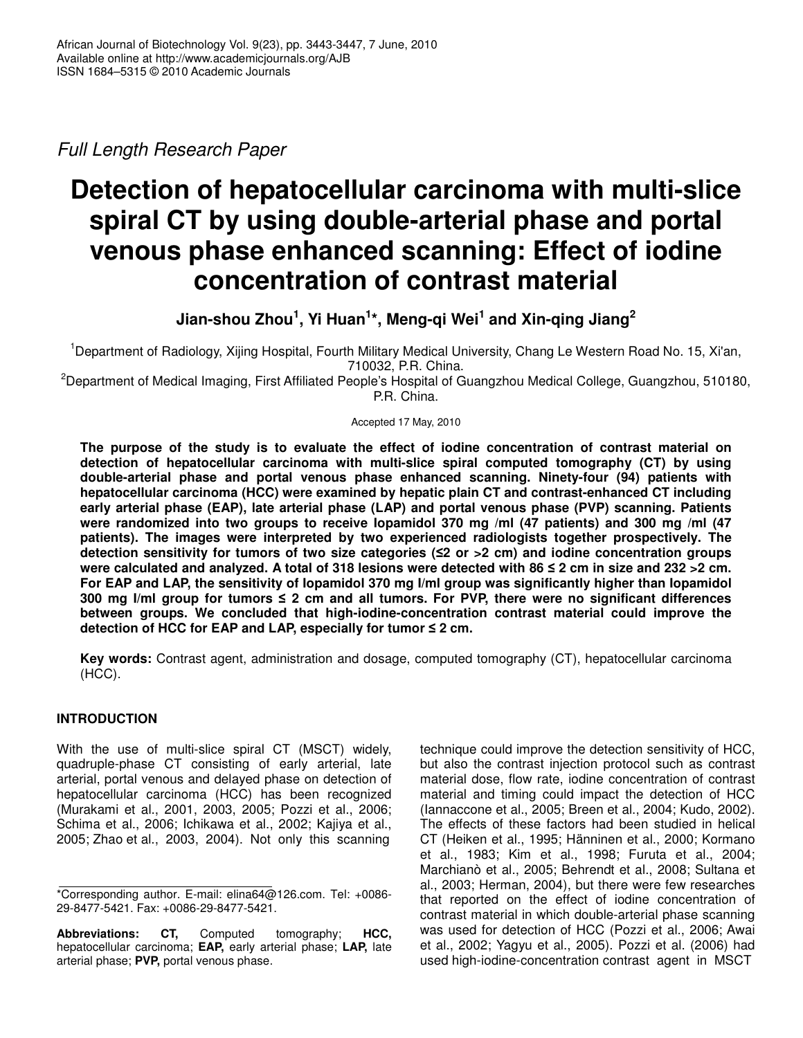*Full Length Research Paper*

# **Detection of hepatocellular carcinoma with multi-slice spiral CT by using double-arterial phase and portal venous phase enhanced scanning: Effect of iodine concentration of contrast material**

**Jian-shou Zhou 1 , Yi Huan 1 \*, Meng-qi Wei 1 and Xin-qing Jiang 2**

<sup>1</sup>Department of Radiology, Xijing Hospital, Fourth Military Medical University, Chang Le Western Road No. 15, Xi'an, 710032, P.R. China.

<sup>2</sup>Department of Medical Imaging, First Affiliated People's Hospital of Guangzhou Medical College, Guangzhou, 510180, P.R. China.

Accepted 17 May, 2010

**The purpose of the study is to evaluate the effect of iodine concentration of contrast material on detection of hepatocellular carcinoma with multi-slice spiral computed tomography (CT) by using double-arterial phase and portal venous phase enhanced scanning. Ninety-four (94) patients with hepatocellular carcinoma (HCC) were examined by hepatic plain CT and contrast-enhanced CT including early arterial phase (EAP), late arterial phase (LAP) and portal venous phase (PVP) scanning. Patients were randomized into two groups to receive Iopamidol 370 mg /ml (47 patients) and 300 mg /ml (47 patients). The images were interpreted by two experienced radiologists together prospectively. The detection sensitivity for tumors of two size categories (2 or >2 cm) and iodine concentration groups** were calculated and analyzed. A total of 318 lesions were detected with 86 ≤ 2 cm in size and 232 > 2 cm. **For EAP and LAP, the sensitivity of Iopamidol 370 mg I/ml group was significantly higher than Iopamidol 300 mg I/ml group for tumors 2 cm and all tumors. For PVP, there were no significant differences between groups. We concluded that high-iodine-concentration contrast material could improve the detection of HCC for EAP and LAP, especially for tumor 2 cm.**

**Key words:** Contrast agent, administration and dosage, computed tomography (CT), hepatocellular carcinoma (HCC).

# **INTRODUCTION**

With the use of multi-slice spiral CT (MSCT) widely, quadruple-phase CT consisting of early arterial, late arterial, portal venous and delayed phase on detection of hepatocellular carcinoma (HCC) has been recognized (Murakami et al., 2001, 2003, 2005; Pozzi et al., 2006; Schima et al., 2006; Ichikawa et al., 2002; Kajiya et al., 2005; Zhao et al., 2003, 2004). Not only this scanning

technique could improve the detection sensitivity of HCC, but also the contrast injection protocol such as contrast material dose, flow rate, iodine concentration of contrast material and timing could impact the detection of HCC (Iannaccone et al., 2005; Breen et al., 2004; Kudo, 2002). The effects of these factors had been studied in helical CT (Heiken et al., 1995; Hänninen et al., 2000; Kormano et al., 1983; Kim et al., 1998; Furuta et al., 2004; Marchianò et al., 2005; Behrendt et al., 2008; Sultana et al., 2003; Herman, 2004), but there were few researches that reported on the effect of iodine concentration of contrast material in which double-arterial phase scanning was used for detection of HCC (Pozzi et al., 2006; Awai et al., 2002; Yagyu et al., 2005). Pozzi et al. (2006) had used high-iodine-concentration contrast agent in MSCT

<sup>\*</sup>Corresponding author. E-mail: elina64@126.com. Tel: +0086- 29-8477-5421. Fax: +0086-29-8477-5421.

**Abbreviations: CT,** Computed tomography; **HCC,** hepatocellular carcinoma; **EAP,** early arterial phase; **LAP,** late arterial phase; **PVP,** portal venous phase.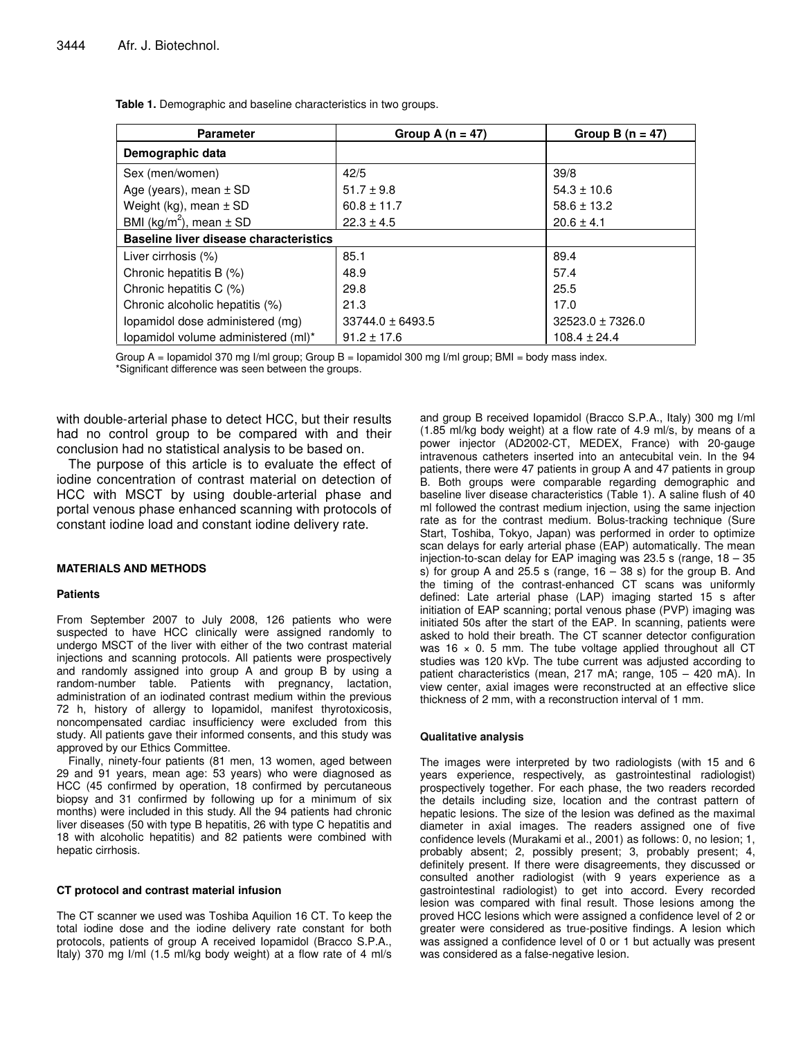| <b>Parameter</b>                              | Group A $(n = 47)$   | Group B $(n = 47)$   |  |
|-----------------------------------------------|----------------------|----------------------|--|
| Demographic data                              |                      |                      |  |
| Sex (men/women)                               | 42/5                 | 39/8                 |  |
| Age (years), mean $\pm$ SD                    | $51.7 \pm 9.8$       | $54.3 \pm 10.6$      |  |
| Weight (kg), mean $\pm$ SD                    | $60.8 \pm 11.7$      | $58.6 \pm 13.2$      |  |
| BMI ( $kg/m^2$ ), mean $\pm$ SD               | $22.3 \pm 4.5$       | $20.6 \pm 4.1$       |  |
| <b>Baseline liver disease characteristics</b> |                      |                      |  |
| Liver cirrhosis (%)                           | 85.1                 | 89.4                 |  |
| Chronic hepatitis B (%)                       | 48.9                 | 57.4                 |  |
| Chronic hepatitis C (%)                       | 29.8                 | 25.5                 |  |
| Chronic alcoholic hepatitis (%)               | 21.3                 | 17.0                 |  |
| lopamidol dose administered (mg)              | $33744.0 \pm 6493.5$ | $32523.0 \pm 7326.0$ |  |
| lopamidol volume administered (ml)*           | $91.2 \pm 17.6$      | $108.4 \pm 24.4$     |  |

**Table 1.** Demographic and baseline characteristics in two groups.

Group  $A =$  Iopamidol 370 mg I/ml group; Group  $B =$  Iopamidol 300 mg I/ml group; BMI = body mass index. \*Significant difference was seen between the groups.

with double-arterial phase to detect HCC, but their results had no control group to be compared with and their conclusion had no statistical analysis to be based on.

The purpose of this article is to evaluate the effect of iodine concentration of contrast material on detection of HCC with MSCT by using double-arterial phase and portal venous phase enhanced scanning with protocols of constant iodine load and constant iodine delivery rate.

## **MATERIALS AND METHODS**

## **Patients**

From September 2007 to July 2008, 126 patients who were suspected to have HCC clinically were assigned randomly to undergo MSCT of the liver with either of the two contrast material injections and scanning protocols. All patients were prospectively and randomly assigned into group A and group B by using a random-number table. Patients with pregnancy, lactation, administration of an iodinated contrast medium within the previous 72 h, history of allergy to Iopamidol, manifest thyrotoxicosis, noncompensated cardiac insufficiency were excluded from this study. All patients gave their informed consents, and this study was approved by our Ethics Committee.

Finally, ninety-four patients (81 men, 13 women, aged between 29 and 91 years, mean age: 53 years) who were diagnosed as HCC (45 confirmed by operation, 18 confirmed by percutaneous biopsy and 31 confirmed by following up for a minimum of six months) were included in this study. All the 94 patients had chronic liver diseases (50 with type B hepatitis, 26 with type C hepatitis and 18 with alcoholic hepatitis) and 82 patients were combined with hepatic cirrhosis.

## **CT protocol and contrast material infusion**

The CT scanner we used was Toshiba Aquilion 16 CT. To keep the total iodine dose and the iodine delivery rate constant for both protocols, patients of group A received Iopamidol (Bracco S.P.A., Italy) 370 mg I/ml (1.5 ml/kg body weight) at a flow rate of 4 ml/s

and group B received Iopamidol (Bracco S.P.A., Italy) 300 mg I/ml (1.85 ml/kg body weight) at a flow rate of 4.9 ml/s, by means of a power injector (AD2002-CT, MEDEX, France) with 20-gauge intravenous catheters inserted into an antecubital vein. In the 94 patients, there were 47 patients in group A and 47 patients in group B. Both groups were comparable regarding demographic and baseline liver disease characteristics (Table 1). A saline flush of 40 ml followed the contrast medium injection, using the same injection rate as for the contrast medium. Bolus-tracking technique (Sure Start, Toshiba, Tokyo, Japan) was performed in order to optimize scan delays for early arterial phase (EAP) automatically. The mean injection-to-scan delay for EAP imaging was 23.5 s (range, 18 – 35 s) for group A and 25.5 s (range,  $16 - 38$  s) for the group B. And the timing of the contrast-enhanced CT scans was uniformly defined: Late arterial phase (LAP) imaging started 15 s after initiation of EAP scanning; portal venous phase (PVP) imaging was initiated 50s after the start of the EAP. In scanning, patients were asked to hold their breath. The CT scanner detector configuration was 16  $\times$  0. 5 mm. The tube voltage applied throughout all CT studies was 120 kVp. The tube current was adjusted according to patient characteristics (mean, 217 mA; range, 105 – 420 mA). In view center, axial images were reconstructed at an effective slice thickness of 2 mm, with a reconstruction interval of 1 mm.

## **Qualitative analysis**

The images were interpreted by two radiologists (with 15 and 6 years experience, respectively, as gastrointestinal radiologist) prospectively together. For each phase, the two readers recorded the details including size, location and the contrast pattern of hepatic lesions. The size of the lesion was defined as the maximal diameter in axial images. The readers assigned one of five confidence levels (Murakami et al., 2001) as follows: 0, no lesion; 1, probably absent; 2, possibly present; 3, probably present; 4, definitely present. If there were disagreements, they discussed or consulted another radiologist (with 9 years experience as a gastrointestinal radiologist) to get into accord. Every recorded lesion was compared with final result. Those lesions among the proved HCC lesions which were assigned a confidence level of 2 or greater were considered as true-positive findings. A lesion which was assigned a confidence level of 0 or 1 but actually was present was considered as a false-negative lesion.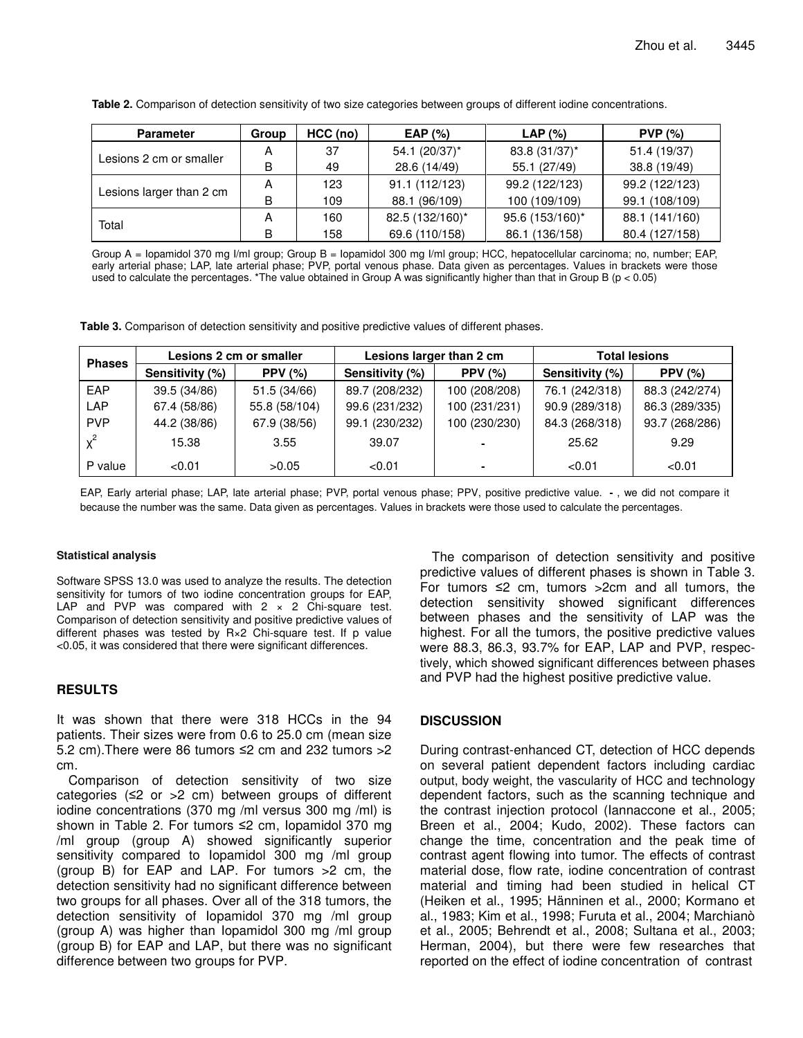| <b>Parameter</b>         | Group | HCC (no) | EAP $(\%)$      | LAP(%)          | PVP(%)         |
|--------------------------|-------|----------|-----------------|-----------------|----------------|
| Lesions 2 cm or smaller  | А     | 37       | 54.1 (20/37)*   | 83.8 (31/37)*   | 51.4 (19/37)   |
|                          | B     | 49       | 28.6 (14/49)    | 55.1 (27/49)    | 38.8 (19/49)   |
| Lesions larger than 2 cm | A     | 123      | 91.1 (112/123)  | 99.2 (122/123)  | 99.2 (122/123) |
|                          | В     | 109      | 88.1 (96/109)   | 100 (109/109)   | 99.1 (108/109) |
| Total                    | А     | 160      | 82.5 (132/160)* | 95.6 (153/160)* | 88.1 (141/160) |
|                          | B     | 158      | 69.6 (110/158)  | 86.1 (136/158)  | 80.4 (127/158) |

**Table 2.** Comparison of detection sensitivity of two size categories between groups of different iodine concentrations.

Group A = Iopamidol 370 mg I/ml group; Group B = Iopamidol 300 mg I/ml group; HCC, hepatocellular carcinoma; no, number; EAP, early arterial phase; LAP, late arterial phase; PVP, portal venous phase. Data given as percentages. Values in brackets were those used to calculate the percentages. \*The value obtained in Group A was significantly higher than that in Group B ( $p < 0.05$ )

**Table 3.** Comparison of detection sensitivity and positive predictive values of different phases.

| <b>Phases</b> | Lesions 2 cm or smaller |                | Lesions larger than 2 cm |                | <b>Total lesions</b> |                |
|---------------|-------------------------|----------------|--------------------------|----------------|----------------------|----------------|
|               | Sensitivity (%)         | <b>PPV (%)</b> | Sensitivity (%)          | <b>PPV (%)</b> | Sensitivity (%)      | PPV $(%)$      |
| EAP           | 39.5 (34/86)            | 51.5 (34/66)   | 89.7 (208/232)           | 100 (208/208)  | 76.1 (242/318)       | 88.3 (242/274) |
| LAP           | 67.4 (58/86)            | 55.8 (58/104)  | 99.6 (231/232)           | 100 (231/231)  | 90.9 (289/318)       | 86.3 (289/335) |
| <b>PVP</b>    | 44.2 (38/86)            | 67.9 (38/56)   | 99.1 (230/232)           | 100 (230/230)  | 84.3 (268/318)       | 93.7 (268/286) |
| $x^2$         | 15.38                   | 3.55           | 39.07                    |                | 25.62                | 9.29           |
| P value       | < 0.01                  | >0.05          | < 0.01                   |                | < 0.01               | < 0.01         |

EAP, Early arterial phase; LAP, late arterial phase; PVP, portal venous phase; PPV, positive predictive value. , we did not compare it because the number was the same. Data given as percentages. Values in brackets were those used to calculate the percentages.

## **Statistical analysis**

Software SPSS 13.0 was used to analyze the results. The detection sensitivity for tumors of two iodine concentration groups for EAP, LAP and PVP was compared with  $2 \times 2$  Chi-square test. Comparison of detection sensitivity and positive predictive values of different phases was tested by R×2 Chi-square test. If p value <0.05, it was considered that there were significant differences.

# **RESULTS**

It was shown that there were 318 HCCs in the 94 patients. Their sizes were from 0.6 to 25.0 cm (mean size 5.2 cm). There were 86 tumors  $\leq$ 2 cm and 232 tumors  $>$ 2 cm.

Comparison of detection sensitivity of two size categories (≤2 or >2 cm) between groups of different iodine concentrations (370 mg /ml versus 300 mg /ml) is shown in Table 2. For tumors ≤2 cm, lopamidol 370 mg /ml group (group A) showed significantly superior sensitivity compared to Iopamidol 300 mg /ml group (group B) for EAP and LAP. For tumors >2 cm, the detection sensitivity had no significant difference between two groups for all phases. Over all of the 318 tumors, the detection sensitivity of Iopamidol 370 mg /ml group (group A) was higher than Iopamidol 300 mg /ml group (group B) for EAP and LAP, but there was no significant difference between two groups for PVP.

The comparison of detection sensitivity and positive predictive values of different phases is shown in Table 3. For tumors  $\leq 2$  cm, tumors  $>2$ cm and all tumors, the detection sensitivity showed significant differences between phases and the sensitivity of LAP was the highest. For all the tumors, the positive predictive values were 88.3, 86.3, 93.7% for EAP, LAP and PVP, respectively, which showed significant differences between phases and PVP had the highest positive predictive value.

# **DISCUSSION**

During contrast-enhanced CT, detection of HCC depends on several patient dependent factors including cardiac output, body weight, the vascularity of HCC and technology dependent factors, such as the scanning technique and the contrast injection protocol (Iannaccone et al., 2005; Breen et al., 2004; Kudo, 2002). These factors can change the time, concentration and the peak time of contrast agent flowing into tumor. The effects of contrast material dose, flow rate, iodine concentration of contrast material and timing had been studied in helical CT (Heiken et al., 1995; Hänninen et al., 2000; Kormano et al., 1983; Kim et al., 1998; Furuta et al., 2004; Marchianò et al., 2005; Behrendt et al., 2008; Sultana et al., 2003; Herman, 2004), but there were few researches that reported on the effect of iodine concentration of contrast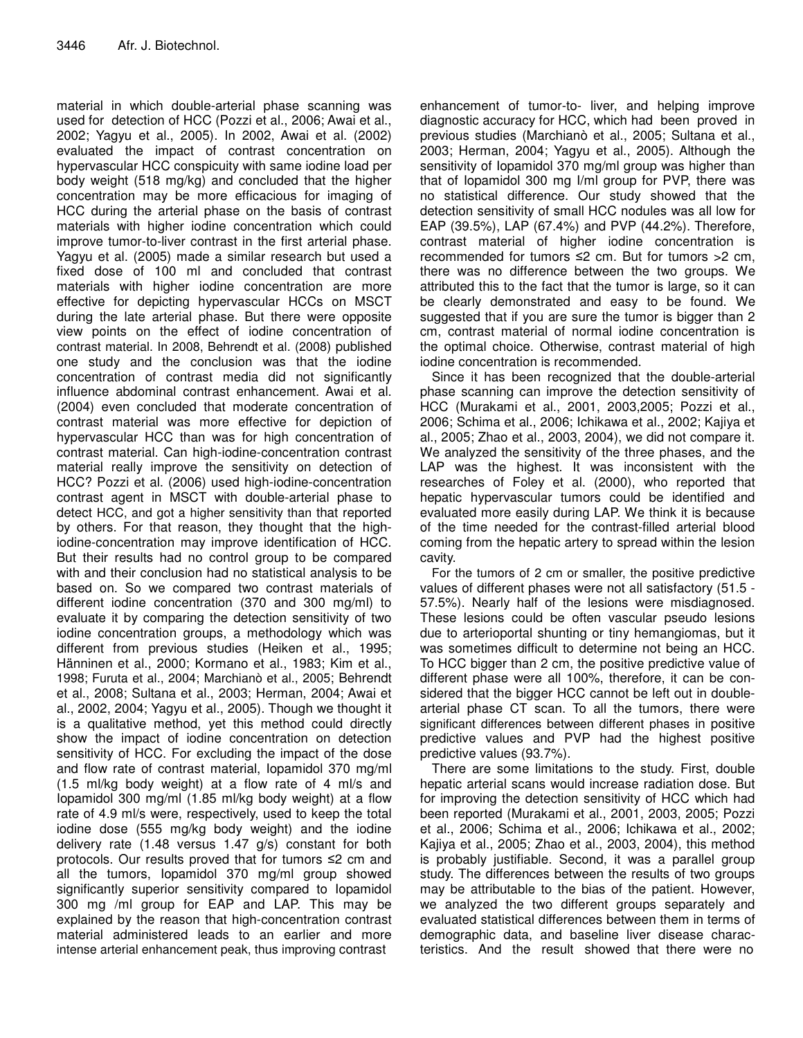material in which double-arterial phase scanning was used for detection of HCC (Pozzi et al., 2006; Awai et al., 2002; Yagyu et al., 2005). In 2002, Awai et al. (2002) evaluated the impact of contrast concentration on hypervascular HCC conspicuity with same iodine load per body weight (518 mg/kg) and concluded that the higher concentration may be more efficacious for imaging of HCC during the arterial phase on the basis of contrast materials with higher iodine concentration which could improve tumor-to-liver contrast in the first arterial phase. Yagyu et al. (2005) made a similar research but used a fixed dose of 100 ml and concluded that contrast materials with higher iodine concentration are more effective for depicting hypervascular HCCs on MSCT during the late arterial phase. But there were opposite view points on the effect of iodine concentration of contrast material. In 2008, Behrendt et al. (2008) published one study and the conclusion was that the iodine concentration of contrast media did not significantly influence abdominal contrast enhancement. Awai et al. (2004) even concluded that moderate concentration of contrast material was more effective for depiction of hypervascular HCC than was for high concentration of contrast material. Can high-iodine-concentration contrast material really improve the sensitivity on detection of HCC? Pozzi et al. (2006) used high-iodine-concentration contrast agent in MSCT with double-arterial phase to detect HCC, and got a higher sensitivity than that reported by others. For that reason, they thought that the highiodine-concentration may improve identification of HCC. But their results had no control group to be compared with and their conclusion had no statistical analysis to be based on. So we compared two contrast materials of different iodine concentration (370 and 300 mg/ml) to evaluate it by comparing the detection sensitivity of two iodine concentration groups, a methodology which was different from previous studies (Heiken et al., 1995; Hänninen et al., 2000; Kormano et al., 1983; Kim et al., 1998; Furuta et al., 2004; Marchianò et al., 2005; Behrendt et al., 2008; Sultana et al., 2003; Herman, 2004; Awai et al., 2002, 2004; Yagyu et al., 2005). Though we thought it is a qualitative method, yet this method could directly show the impact of iodine concentration on detection sensitivity of HCC. For excluding the impact of the dose and flow rate of contrast material, Iopamidol 370 mg/ml (1.5 ml/kg body weight) at a flow rate of 4 ml/s and Iopamidol 300 mg/ml (1.85 ml/kg body weight) at a flow rate of 4.9 ml/s were, respectively, used to keep the total iodine dose (555 mg/kg body weight) and the iodine delivery rate (1.48 versus 1.47 g/s) constant for both protocols. Our results proved that for tumors ≤2 cm and all the tumors, Iopamidol 370 mg/ml group showed significantly superior sensitivity compared to Iopamidol 300 mg /ml group for EAP and LAP. This may be explained by the reason that high-concentration contrast material administered leads to an earlier and more intense arterial enhancement peak, thus improving contrast

enhancement of tumor-to- liver, and helping improve diagnostic accuracy for HCC, which had been proved in previous studies (Marchianò et al., 2005; Sultana et al., 2003; Herman, 2004; Yagyu et al., 2005). Although the sensitivity of Iopamidol 370 mg/ml group was higher than that of Iopamidol 300 mg I/ml group for PVP, there was no statistical difference. Our study showed that the detection sensitivity of small HCC nodules was all low for EAP (39.5%), LAP (67.4%) and PVP (44.2%). Therefore, contrast material of higher iodine concentration is recommended for tumors ≤2 cm. But for tumors >2 cm, there was no difference between the two groups. We attributed this to the fact that the tumor is large, so it can be clearly demonstrated and easy to be found. We suggested that if you are sure the tumor is bigger than 2 cm, contrast material of normal iodine concentration is the optimal choice. Otherwise, contrast material of high iodine concentration is recommended.

Since it has been recognized that the double-arterial phase scanning can improve the detection sensitivity of HCC (Murakami et al., 2001, 2003,2005; Pozzi et al., 2006; Schima et al., 2006; Ichikawa et al., 2002; Kajiya et al., 2005; Zhao et al., 2003, 2004), we did not compare it. We analyzed the sensitivity of the three phases, and the LAP was the highest. It was inconsistent with the researches of Foley et al. (2000), who reported that hepatic hypervascular tumors could be identified and evaluated more easily during LAP. We think it is because of the time needed for the contrast-filled arterial blood coming from the hepatic artery to spread within the lesion cavity.

For the tumors of 2 cm or smaller, the positive predictive values of different phases were not all satisfactory (51.5 - 57.5%). Nearly half of the lesions were misdiagnosed. These lesions could be often vascular pseudo lesions due to arterioportal shunting or tiny hemangiomas, but it was sometimes difficult to determine not being an HCC. To HCC bigger than 2 cm, the positive predictive value of different phase were all 100%, therefore, it can be considered that the bigger HCC cannot be left out in doublearterial phase CT scan. To all the tumors, there were significant differences between different phases in positive predictive values and PVP had the highest positive predictive values (93.7%).

There are some limitations to the study. First, double hepatic arterial scans would increase radiation dose. But for improving the detection sensitivity of HCC which had been reported (Murakami et al., 2001, 2003, 2005; Pozzi et al., 2006; Schima et al., 2006; Ichikawa et al., 2002; Kajiya et al., 2005; Zhao et al., 2003, 2004), this method is probably justifiable. Second, it was a parallel group study. The differences between the results of two groups may be attributable to the bias of the patient. However, we analyzed the two different groups separately and evaluated statistical differences between them in terms of demographic data, and baseline liver disease characteristics. And the result showed that there were no